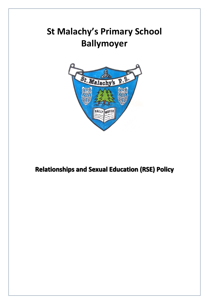# **St Malachy's Primary School Ballymoyer**



# **Relationships and Sexual Education (RSE) Policy**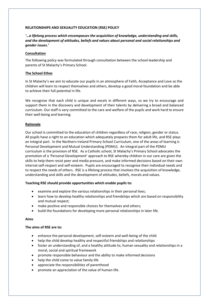#### **RELATIONSHIPS AND SEXUALITY EDUCATION (RSE) POLICY**

# *'…a lifelong process which encompasses the acquisition of knowledge, understanding and skills, and the development of attitudes, beliefs and values about personal and social relationships and gender issues.'*

# **Consultation**

The following policy was formulated through consultation between the school leadership and parents of St Malachy's Primary School.

#### **The School Ethos**

In St Malachy's we aim to educate our pupils in an atmosphere of Faith, Acceptance and Love so the children will learn to respect themselves and others, develop a good moral foundation and be able to achieve their full potential in life.

We recognise that each child is unique and excels in different ways, so we try to encourage and support them in the discovery and development of their talents by delivering a broad and balanced curriculum. Our staff is very committed to the care and welfare of the pupils and work hard to ensure their well-being and learning.

#### **Rationale**

Our school is committed to the education of children regardless of race, religion, gender or status. All pupils have a right to an education which adequately prepares them for adult life, and RSE plays an integral part. In the Northern Ireland Primary School Curriculum, one of the areas of learning is Personal Development and Mutual Understanding (PDMU). An integral part of the PDMU curriculum is the provision of RSE. As a Catholic school, St Malachy's Primary School advocates the promotion of a 'Personal Development' approach to RSE whereby children in our care are given the skills to help them resist peer and media pressure, and make informed decisions based on their own internal self-respect and self-esteem. Pupils are encouraged to recognise their individual needs and to respect the needs of others. RSE is a lifelong process that involves the acquisition of knowledge, understanding and skills and the development of attitudes, beliefs, morals and values.

# **Teaching RSE should provide opportunities which enable pupils to:**

- examine and explore the various relationships in their personal lives;
- learn how to develop healthy relationships and friendships which are based on responsibility and mutual respect;
- make positive and responsible choices for themselves and others;
- $\bullet$  build the foundations for developing more personal relationships in later life.

#### **Aims**

#### **The aims of RSE are to:**

- enhance the personal development, self-esteem and well-being of the child
- help the child develop healthy and respectful friendships and relationships
- foster an understanding of, and a healthy attitude to, human sexuality and relationships in a moral, social and spiritual framework
- promote responsible behaviour and the ability to make informed decisions
- help the child come to value family life
- appreciate the responsibilities of parenthood
- promote an appreciation of the value of human life.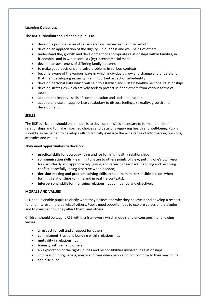# **Learning Objectives**

#### **The RSE curriculum should enable pupils to:**

- develop a positive sense of self-awareness, self-esteem and self-worth
- develop an appreciation of the dignity, uniqueness and well-being of others
- understand the, growth and development of appropriate relationships within families, in friendships and in wider contexts (eg) internet/social media
- develop an awareness of differing family patterns
- to make good decisions and solve problems in various contexts
- become aware of the various ways in which individuals grow and change and understand that their developing sexuality is an important aspect of self-identity
- develop personal skills which will help to establish and sustain healthy personal relationships
- develop strategies which actively seek to protect self and others from various forms of abuse
- acquire and improve skills of communication and social interaction
- acquire and use an appropriate vocabulary to discuss feelings, sexuality, growth and development.

#### **SKILLS**

The RSE curriculum should enable pupils to develop the skills necessary to form and maintain relationships and to make informed choices and decisions regarding health and well-being. Pupils should also be helped to develop skills to critically evaluate the wide range of information, opinions, attitudes and values.

#### **They need opportunities to develop:**

- **practical skills** for everyday living and for forming healthy relationships
- **communication skills**  learning to listen to others points of view; putting one's own view forward clearly and appropriately; giving and receiving feedback; handling and resolving conflict peacefully; being assertive when needed;
- **decision-making and problem-solving skills** to help them make sensible choices when forming relationships (on-line and in real life contexts);
- **interpersonal skills** for managing relationships confidently and effectively.

# **MORALS AND VALUES**

RSE should enable pupils to clarify what they believe and why they believe it and develop a respect for and interest in the beliefs of others. Pupils need opportunities to explore values and attitudes and to consider how they affect them, and others.

Children should be taught RSE within a framework which models and encourages the following values:

- a respect for self and a respect for others
- commitment, trust and bonding within relationships
- mutuality in relationships
- honesty with self and others
- an exploration of the rights, duties and responsibilities involved in relationships
- compassion, forgiveness, mercy and care when people do not conform to their way of life
- self-discipline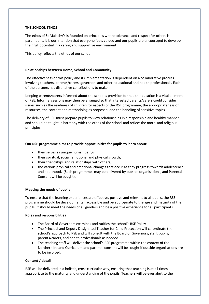#### **THE SCHOOL ETHOS**

The ethos of St Malachy's is founded on principles where tolerance and respect for others is paramount. It is our intention that everyone feels valued and our pupils are encouraged to develop their full potential in a caring and supportive environment.

This policy reflects the ethos of our school.

#### **Relationships between Home, School and Community**

The effectiveness of this policy and its implementation is dependent on a collaborative process involving teachers, parents/carers, governors and other educational and health professionals. Each of the partners has distinctive contributions to make.

Keeping parents/carers informed about the school's provision for health education is a vital element of RSE. Informal sessions may then be arranged so that interested parents/carers could consider issues such as the readiness of children for aspects of the RSE programme, the appropriateness of resources, the content and methodologies proposed, and the handling of sensitive topics.

The delivery of RSE must prepare pupils to view relationships in a responsible and healthy manner and should be taught in harmony with the ethos of the school and reflect the moral and religious principles.

#### **Our RSE programme aims to provide opportunities for pupils to learn about:**

- themselves as unique human beings;
- their spiritual, social, emotional and physical growth;
- their friendships and relationships with others;
- the various physical and emotional changes that occur as they progress towards adolescence and adulthood. (Such programmes may be delivered by outside organisations, and Parental Consent will be sought).

#### **Meeting the needs of pupils**

To ensure that the learning experiences are effective, positive and relevant to all pupils, the RSE programme should be developmental, accessible and be appropriate to the age and maturity of the pupils. It should meet the needs of all genders and be a positive experience for all participants.

#### **Roles and responsibilities**

- The Board of Governors examines and ratifies the school's RSE Policy
- The Principal and Deputy Designated Teacher for Child Protection will co-ordinate the school's approach to RSE and will consult with the Board of Governors, staff, pupils, parents/carers, and health professionals as needed.
- The teaching staff will deliver the school's RSE programme within the context of the Northern Ireland Curriculum and parental consent will be sought if outside organisations are to be involved.

# **Content / detail**

RSE will be delivered in a holistic, cross curricular way, ensuring that teaching is at all times appropriate to the maturity and understanding of the pupils. Teachers will be ever alert to the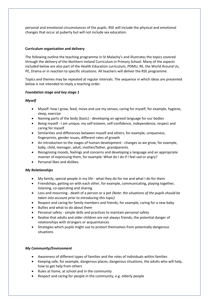personal and emotional circumstances of the pupils. RSE will include the physical and emotional changes that occur at puberty but will not include sex education.

# **Curriculum organisation and delivery**

The following outline the teaching programme in St Malachy's and illustrates the topics covered through the delivery of the Northern Ireland Curriculum in Primary School. Many of the aspects included below are also part of the Health Education curriculum, PDMU, RE, the World Around Us, PE, Drama or in reaction to specific situations. All teachers will deliver the RSE programme.

Topics and themes may be repeated at regular intervals. The sequence in which ideas are presented below is not intended to imply a teaching order.

# *Foundation stage and key stage 1*

# *Myself*

- Myself: how I grow, feed, move and use my senses; caring for myself, for example, hygiene, sleep, exercise
- Naming parts of the body (basic) developing an agreed language for our bodies
- Being myself I am unique, my self-esteem, self-confidence, independence, respect and caring for myself
- Similarities and differences between myself and others, for example, uniqueness, fingerprints, gender issues, different rates of growth
- An introduction to the stages of human development changes as we grow, for example, baby, child, teenager, adult, mother/father, grandparents
- Recognising moods, feelings and concerns and developing a language and an appropriate manner of expressing them, for example: What do I do if I feel sad or angry?
- Personal likes and dislikes.

# *My Relationships*

- My family, special people in my life what they do for me and what I do for them
- Friendships, getting on with each other, for example, communicating, playing together, listening, co-operating and sharing
- Loss and mourning death of a person or a pet *(Note: the situations of the pupils should be taken into account prior to introducing this topic)*
- Respect and caring for family members and friends, for example, caring for a new baby
- Bullies and what to do about them
- Personal safety simple skills and practices to maintain personal safety
- Realise that adults and older children are not always friends; the potential danger of relationships with strangers or acquaintances
- Strategies which pupils might use to protect themselves from potentially dangerous situations

# *My Community/Environment*

- Awareness of different types of families and the roles of individuals within families
- Keeping safe, for example, dangerous places, dangerous situations, the adults who will help, how to get help from others
- Rules at home, at school and in the community
- Respect and caring for people in the community, e.g. elderly people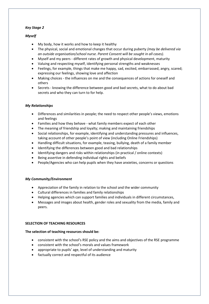# *Key Stage 2*

# *Myself*

- My body, how it works and how to keep it healthy
- The physical, social and emotional changes that occur during puberty *(may be delivered via an outside organisation/school nurse. Parent Consent will be sought in all cases).*
- Myself and my peers different rates of growth and physical development, maturity
- Valuing and respecting myself, identifying personal strengths and weaknesses
- Feelings, for example, things that make me happy, sad, excited, embarrassed, angry, scared; expressing our feelings, showing love and affection
- Making choices the influences on me and the consequences of actions for oneself and others
- Secrets knowing the difference between good and bad secrets, what to do about bad secrets and who they can turn to for help.

# *My Relationships*

- Differences and similarities in people; the need to respect other people's views, emotions and feelings
- Families and how they behave what family members expect of each other
- The meaning of friendship and loyalty; making and maintaining friendships
- Social relationships, for example, identifying and understanding pressures and influences, taking account of other people's point of view (including Online Friendships)
- Handling difficult situations, for example, teasing, bullying, death of a family member
- Identifying the differences between good and bad relationships
- Identifying dangers and risks within relationships (in practical / online contexts)
- Being assertive in defending individual rights and beliefs
- People/Agencies who can help pupils when they have anxieties, concerns or questions

# *My Community/Environment*

- Appreciation of the family in relation to the school and the wider community
- Cultural differences in families and family relationships
- Helping agencies which can support families and individuals in different circumstances,
- Messages and images about health, gender roles and sexuality from the media, family and peers.

# **SELECTION OF TEACHING RESOURCES**

# **The selection of teaching resources should be:**

- consistent with the school's RSE policy and the aims and objectives of the RSE programme
- consistent with the school's morals and values framework
- appropriate to pupils' age, level of understanding and maturity
- factually correct and respectful of its audience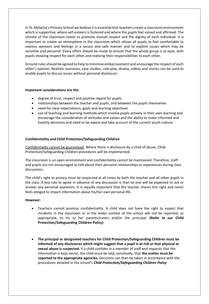In St. Malachy's Primary School we believe it is essential that teachers create a classroom environment which is supportive, where self-esteem is fostered and where the pupils feel valued and affirmed. The climate of the classroom needs to promote mutual respect and the dignity of each individual. It is important to create an atmosphere in the classroom which allows all pupils to feel comfortable to express opinions and feelings in a secure and safe manner and to explore issues which may be sensitive and personal. Every effort should be made to ensure that the whole group is at ease, with pupils showing respect for each other and realising their responsibilities to each other.

Ground rules should be agreed to help to minimise embarrassment and encourage the respect of each other's opinion. Realistic scenarios, case studies, role-play, drama, videos and stories can be used to enable pupils to discuss issues without personal disclosure.

# **Important considerations are the:**

- degree of trust, respect and positive regard for pupils
- relationships between the teacher and pupils, and between the pupils themselves
- need for clear expectations, goals and learning objectives
- use of teaching and learning methods which involve pupils actively in their own learning and encourage the consideration of attitudes and values and the ability to make informed and healthy decisions and need to be aware and take account of the current youth culture.

#### **Confidentiality and Child Protection/Safeguarding Children**

Confidentiality cannot be guaranteed. Where there is disclosure by a child of abuse, Child Protection/Safeguarding Children procedures will be implemented.

The classroom is an open environment and confidentiality cannot be maintained. Therefore, staff and pupils are not encouraged to talk about their personal relationships or experiences during class discussions.

The child's right to privacy must be respected at all times by both the teacher and all other pupils in the class. A key rule to agree in advance of any discussion is that no one will be expected to ask or answer any personal questions. It is equally important that the teacher shares this right and never feels obliged to impart information about his/her own personal life.

#### **However:**

- Teachers cannot promise confidentiality. A child does not have the right to expect that incidents in the classroom or in the wider context of the school will not be reported, as appropriate, to his or her parents/carers and/or the principal. **(Refer to our Child Protection/Safeguarding Children Policy)**
- **The principal or designated teachers for Child Protection/Safeguarding Children must be informed of any disclosures which might suggest that a pupil is at risk or that physical or sexual abuse is suspected.** If a child confides in a member of staff and requests that the information is kept secret, the child must be told, sensitively, that **the matter must be reported to the appropriate agencies.** Decisions can then be taken in accordance with the procedures detailed in the school's *Child Protection/Safeguarding Children Policy*